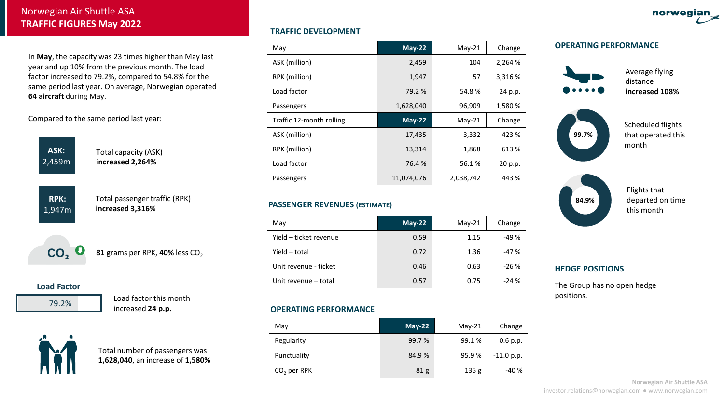# Norwegian Air Shuttle ASA **TRAFFIC FIGURES May 2022**

In **May**, the capacity was 23 times higher than May last year and up 10% from the previous month. The load factor increased to 79.2%, compared to 54.8% for the same period last year. On average, Norwegian operated **64 aircraft** during May.

Compared to the same period last year:

**ASK:** 2,459m

Total capacity (ASK) **increased 2,264%**

**RPK:** 1,947m

Total passenger traffic (RPK) **increased 3,316%**

**81** grams per RPK, **40%** less CO<sub>2</sub>

#### **Load Factor**

 $CO<sub>2</sub>$ 



Load factor this month increased **24 p.p.**



Total number of passengers was **1,628,040**, an increase of **1,580%**

# **TRAFFIC DEVELOPMENT**

| May                      | $May-22$   | $May-21$  | Change  |
|--------------------------|------------|-----------|---------|
| ASK (million)            | 2,459      | 104       | 2,264 % |
| RPK (million)            | 1,947      | 57        | 3,316 % |
| Load factor              | 79.2 %     | 54.8%     | 24 p.p. |
| Passengers               | 1,628,040  | 96,909    | 1,580 % |
| Traffic 12-month rolling | $May-22$   | $May-21$  | Change  |
| ASK (million)            | 17,435     | 3,332     | 423 %   |
| RPK (million)            | 13,314     | 1,868     | 613 %   |
| Load factor              | 76.4 %     | 56.1%     | 20 p.p. |
| Passengers               | 11,074,076 | 2,038,742 | 443 %   |
|                          |            |           |         |

# **PASSENGER REVENUES (ESTIMATE)**

| May                    | $May-22$ | $May-21$ | Change |
|------------------------|----------|----------|--------|
| Yield - ticket revenue | 0.59     | 1.15     | $-49%$ |
| Yield - total          | 0.72     | 1.36     | $-47%$ |
| Unit revenue - ticket  | 0.46     | 0.63     | $-26%$ |
| Unit revenue - total   | 0.57     | 0.75     | $-24%$ |

# **OPERATING PERFORMANCE**

| May           | $May-22$        | $May-21$ | Change       |
|---------------|-----------------|----------|--------------|
| Regularity    | 99.7 %          | 99.1 %   | 0.6 p.p.     |
| Punctuality   | 84.9 %          | 95.9 %   | $-11.0 p.p.$ |
| $CO2$ per RPK | 81 <sub>g</sub> | 135g     | -40 %        |

#### **OPERATING PERFORMANCE**





Scheduled flights that operated this month

norwegian



#### **HEDGE POSITIONS**

The Group has no open hedge positions.